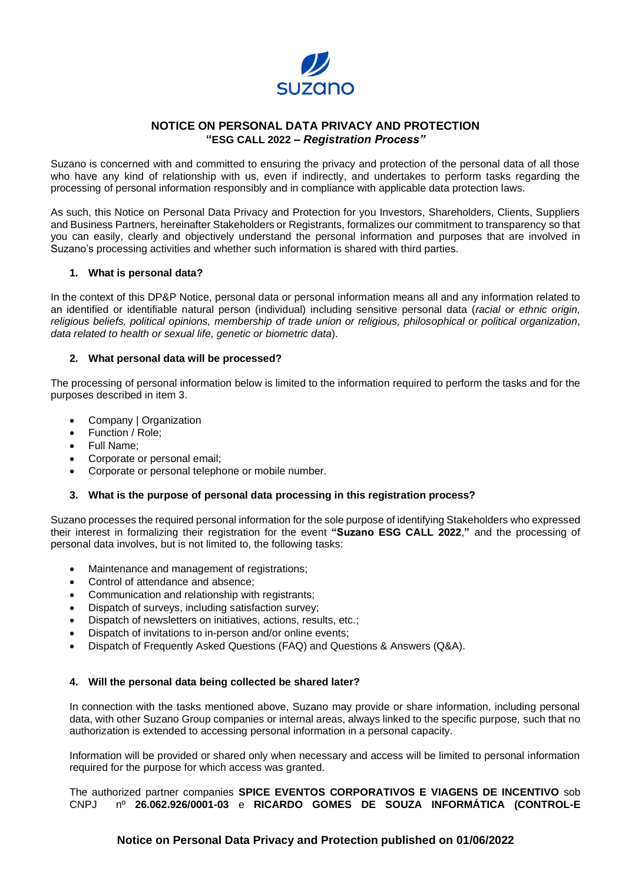

# **NOTICE ON PERSONAL DATA PRIVACY AND PROTECTION "ESG CALL 2022** *– Registration Process"*

Suzano is concerned with and committed to ensuring the privacy and protection of the personal data of all those who have any kind of relationship with us, even if indirectly, and undertakes to perform tasks regarding the processing of personal information responsibly and in compliance with applicable data protection laws.

As such, this Notice on Personal Data Privacy and Protection for you Investors, Shareholders, Clients, Suppliers and Business Partners, hereinafter Stakeholders or Registrants, formalizes our commitment to transparency so that you can easily, clearly and objectively understand the personal information and purposes that are involved in Suzano's processing activities and whether such information is shared with third parties.

### **1. What is personal data?**

In the context of this DP&P Notice, personal data or personal information means all and any information related to an identified or identifiable natural person (individual) including sensitive personal data (*racial or ethnic origin, religious beliefs, political opinions, membership of trade union or religious, philosophical or political organization*, *data related to health or sexual life, genetic or biometric data*).

## **2. What personal data will be processed?**

The processing of personal information below is limited to the information required to perform the tasks and for the purposes described in item 3.

- Company | Organization
- Function / Role;
- Full Name;
- Corporate or personal email;
- Corporate or personal telephone or mobile number.

#### **3. What is the purpose of personal data processing in this registration process?**

Suzano processes the required personal information for the sole purpose of identifying Stakeholders who expressed their interest in formalizing their registration for the event **"Suzano ESG CALL 2022**,**"** and the processing of personal data involves, but is not limited to, the following tasks:

- Maintenance and management of registrations;
- Control of attendance and absence;
- Communication and relationship with registrants;
- Dispatch of surveys, including satisfaction survey;
- Dispatch of newsletters on initiatives, actions, results, etc.;
- Dispatch of invitations to in-person and/or online events;
- Dispatch of Frequently Asked Questions (FAQ) and Questions & Answers (Q&A).

#### **4. Will the personal data being collected be shared later?**

In connection with the tasks mentioned above, Suzano may provide or share information, including personal data, with other Suzano Group companies or internal areas, always linked to the specific purpose, such that no authorization is extended to accessing personal information in a personal capacity.

Information will be provided or shared only when necessary and access will be limited to personal information required for the purpose for which access was granted.

The authorized partner companies **SPICE EVENTOS CORPORATIVOS E VIAGENS DE INCENTIVO** sob CNPJ nº **26.062.926/0001-03** e **RICARDO GOMES DE SOUZA INFORMÁTICA (CONTROL-E** 

## **Notice on Personal Data Privacy and Protection published on 01/06/2022**